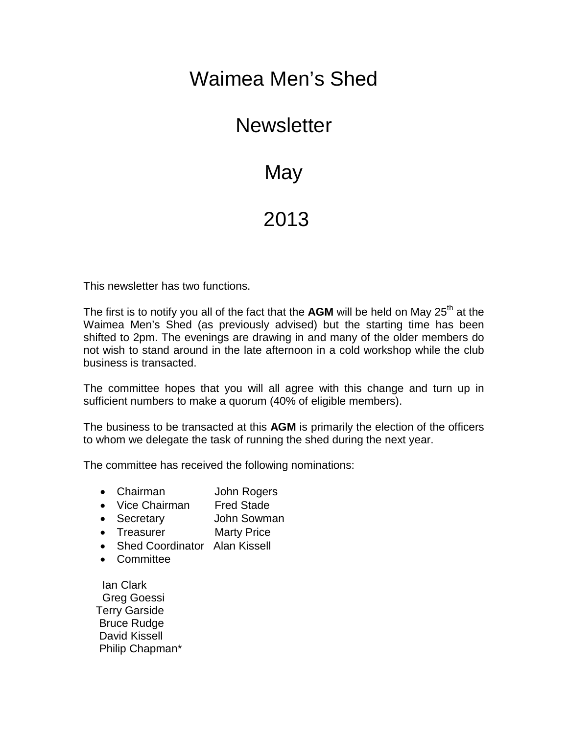## Waimea Men's Shed

## **Newsletter**

## **May**

## 2013

This newsletter has two functions.

The first is to notify you all of the fact that the **AGM** will be held on May 25<sup>th</sup> at the Waimea Men's Shed (as previously advised) but the starting time has been shifted to 2pm. The evenings are drawing in and many of the older members do not wish to stand around in the late afternoon in a cold workshop while the club business is transacted.

The committee hopes that you will all agree with this change and turn up in sufficient numbers to make a quorum (40% of eligible members).

The business to be transacted at this **AGM** is primarily the election of the officers to whom we delegate the task of running the shed during the next year.

The committee has received the following nominations:

- Chairman John Rogers
- Vice Chairman Fred Stade
- Secretary John Sowman
- Treasurer Marty Price
- Shed Coordinator Alan Kissell
- Committee

Ian Clark Greg Goessi Terry Garside Bruce Rudge David Kissell Philip Chapman\*